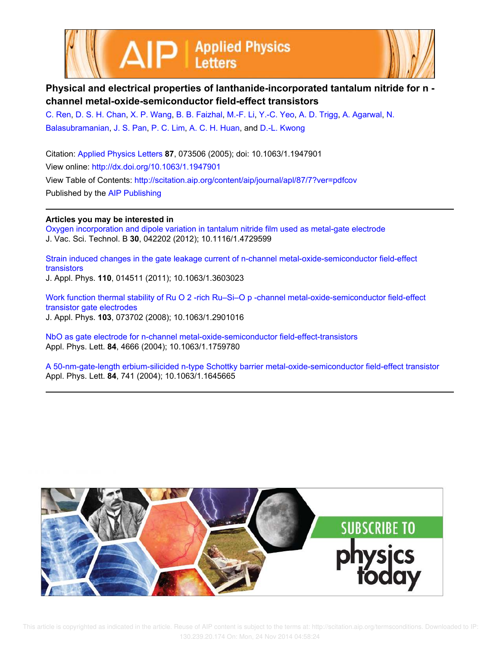



## **Physical and electrical properties of lanthanide-incorporated tantalum nitride for n channel metal-oxide-semiconductor field-effect transistors**

C. Ren, D. S. H. Chan, X. P. Wang, B. B. Faizhal, M.-F. Li, Y.-C. Yeo, A. D. Trigg, A. Agarwal, N. Balasubramanian, J. S. Pan, P. C. Lim, A. C. H. Huan, and D.-L. Kwong

Citation: Applied Physics Letters **87**, 073506 (2005); doi: 10.1063/1.1947901 View online: http://dx.doi.org/10.1063/1.1947901 View Table of Contents: http://scitation.aip.org/content/aip/journal/apl/87/7?ver=pdfcov Published by the AIP Publishing

## **Articles you may be interested in**

Oxygen incorporation and dipole variation in tantalum nitride film used as metal-gate electrode J. Vac. Sci. Technol. B **30**, 042202 (2012); 10.1116/1.4729599

Strain induced changes in the gate leakage current of n-channel metal-oxide-semiconductor field-effect transistors J. Appl. Phys. **110**, 014511 (2011); 10.1063/1.3603023

Work function thermal stability of Ru O 2 -rich Ru–Si–O p -channel metal-oxide-semiconductor field-effect transistor gate electrodes J. Appl. Phys. **103**, 073702 (2008); 10.1063/1.2901016

NbO as gate electrode for n-channel metal-oxide-semiconductor field-effect-transistors Appl. Phys. Lett. **84**, 4666 (2004); 10.1063/1.1759780

A 50-nm-gate-length erbium-silicided n-type Schottky barrier metal-oxide-semiconductor field-effect transistor Appl. Phys. Lett. **84**, 741 (2004); 10.1063/1.1645665

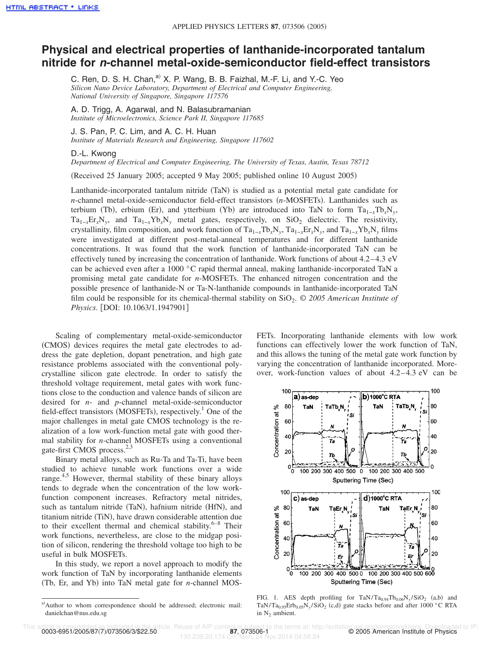## **Physical and electrical properties of lanthanide-incorporated tantalum nitride for <sup>n</sup>-channel metal-oxide-semiconductor field-effect transistors**

C. Ren, D. S. H. Chan,<sup>a)</sup> X. P. Wang, B. B. Faizhal, M.-F. Li, and Y.-C. Yeo *Silicon Nano Device Laboratory, Department of Electrical and Computer Engineering, National University of Singapore, Singapore 117576*

A. D. Trigg, A. Agarwal, and N. Balasubramanian *Institute of Microelectronics, Science Park II, Singapore 117685*

J. S. Pan, P. C. Lim, and A. C. H. Huan *Institute of Materials Research and Engineering, Singapore 117602*

## D.-L. Kwong

*Department of Electrical and Computer Engineering, The University of Texas, Austin, Texas 78712*

Received 25 January 2005; accepted 9 May 2005; published online 10 August 2005-

Lanthanide-incorporated tantalum nitride (TaN) is studied as a potential metal gate candidate for *n*-channel metal-oxide-semiconductor field-effect transistors (*n*-MOSFETs). Lanthanides such as terbium (Tb), erbium (Er), and ytterbium (Yb) are introduced into TaN to form  $Ta_{1-x}Tb_xN_y$ ,  $Ta_{1-x}Er_xN_y$ , and  $Ta_{1-x}Yb_xN_y$  metal gates, respectively, on SiO<sub>2</sub> dielectric. The resistivity, crystallinity, film composition, and work function of  $Ta_{1-x}Tb_xN_y$ ,  $Ta_{1-x}Er_xN_y$ , and  $Ta_{1-x}Yb_xN_y$  films were investigated at different post-metal-anneal temperatures and for different lanthanide concentrations. It was found that the work function of lanthanide-incorporated TaN can be effectively tuned by increasing the concentration of lanthanide. Work functions of about 4.2–4.3 eV can be achieved even after a 1000 °C rapid thermal anneal, making lanthanide-incorporated TaN a promising metal gate candidate for *n*-MOSFETs. The enhanced nitrogen concentration and the possible presence of lanthanide-N or Ta-N-lanthanide compounds in lanthanide-incorporated TaN film could be responsible for its chemical-thermal stability on SiO<sub>2</sub>. © 2005 American Institute of *Physics*. DOI: 10.1063/1.1947901

Scaling of complementary metal-oxide-semiconductor (CMOS) devices requires the metal gate electrodes to address the gate depletion, dopant penetration, and high gate resistance problems associated with the conventional polycrystalline silicon gate electrode. In order to satisfy the threshold voltage requirement, metal gates with work functions close to the conduction and valence bands of silicon are desired for *n*- and *p*-channel metal-oxide-semiconductor field-effect transistors (MOSFETs), respectively.<sup>1</sup> One of the major challenges in metal gate CMOS technology is the realization of a low work-function metal gate with good thermal stability for *n*-channel MOSFETs using a conventional gate-first CMOS process.<sup>2,3</sup>

Binary metal alloys, such as Ru-Ta and Ta-Ti, have been studied to achieve tunable work functions over a wide range.<sup>4,5</sup> However, thermal stability of these binary alloys tends to degrade when the concentration of the low workfunction component increases. Refractory metal nitrides, such as tantalum nitride (TaN), hafnium nitride (HfN), and titanium nitride (TiN), have drawn considerable attention due to their excellent thermal and chemical stability. $6-8$  Their work functions, nevertheless, are close to the midgap position of silicon, rendering the threshold voltage too high to be useful in bulk MOSFETs.

In this study, we report a novel approach to modify the work function of TaN by incorporating lanthanide elements (Tb, Er, and Yb) into TaN metal gate for *n*-channel MOS- FETs. Incorporating lanthanide elements with low work functions can effectively lower the work function of TaN, and this allows the tuning of the metal gate work function by varying the concentration of lanthanide incorporated. Moreover, work-function values of about 4.2–4.3 eV can be



FIG. 1. AES depth profiling for  $\text{TaN/Ta}_{0.94}\text{Tb}_{0.06}\text{N}_y/\text{SiO}_2$  (a,b) and TaN/Ta<sub>0.95</sub>Erb<sub>0.05</sub>N<sub>y</sub>/SiO<sub>2</sub> (c,d) gate stacks before and after 1000 °C RTA in N<sub>2</sub> ambient.

0003-6951/2005/87(7)/073506/3/\$22.50

130.239.20.174 On: Mon, 24 Nov 2014 04:58:24

a)Author to whom correspondence should be addressed; electronic mail: danielchan@nus.edu.sg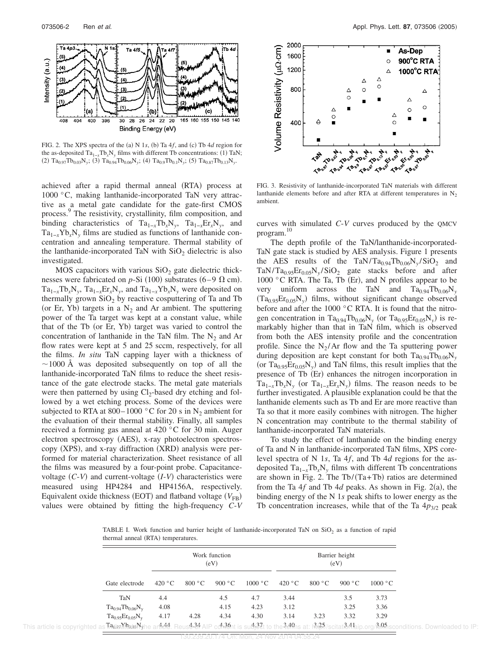

FIG. 2. The XPS spectra of the (a) N 1s, (b) Ta  $4f$ , and (c) Tb  $4d$  region for the as-deposited  $Ta_{1-x}Tb_xN_y$  films with different Tb concentrations: (1) TaN; (2)  $Ta_{0.97}Tb_{0.03}N_y$ ; (3)  $Ta_{0.94}Tb_{0.06}N_y$ ; (4)  $Ta_{0.9}Tb_{0.1}N_y$ ; (5)  $Ta_{0.87}Tb_{0.13}N_y$ .

achieved after a rapid thermal anneal (RTA) process at 1000 °C, making lanthanide-incorporated TaN very attractive as a metal gate candidate for the gate-first CMOS process. 9 The resistivity, crystallinity, film composition, and binding characteristics of Ta<sub>1−*x*</sub>Tb<sub>*x*</sub>N<sub>*y*</sub>, Ta<sub>1−*x*</sub>Er<sub>*x*</sub>N<sub>*y*</sub>, and  $Ta_{1-x}Yb_xN_y$  films are studied as functions of lanthanide concentration and annealing temperature. Thermal stability of the lanthanide-incorporated TaN with  $SiO<sub>2</sub>$  dielectric is also investigated.

MOS capacitors with various  $SiO<sub>2</sub>$  gate dielectric thicknesses were fabricated on  $p$ -Si (100) substrates (6–9  $\Omega$  cm). Ta1−*<sup>x</sup>*Tb*x*N*<sup>y</sup>* , Ta1−*<sup>x</sup>*Er*x*N*<sup>y</sup>* , and Ta1−*<sup>x</sup>*Yb*x*N*<sup>y</sup>* were deposited on thermally grown  $SiO<sub>2</sub>$  by reactive cosputtering of Ta and Tb (or Er, Yb) targets in a  $N_2$  and Ar ambient. The sputtering power of the Ta target was kept at a constant value, while that of the Tb (or Er, Yb) target was varied to control the concentration of lanthanide in the TaN film. The  $N_2$  and Ar flow rates were kept at 5 and 25 sccm, respectively, for all the films. *In situ* TaN capping layer with a thickness of  $\sim$ 1000 Å was deposited subsequently on top of all the lanthanide-incorporated TaN films to reduce the sheet resistance of the gate electrode stacks. The metal gate materials were then patterned by using  $Cl_2$ -based dry etching and followed by a wet etching process. Some of the devices were subjected to RTA at 800–1000 °C for 20 s in N<sub>2</sub> ambient for the evaluation of their thermal stability. Finally, all samples received a forming gas anneal at 420 °C for 30 min. Auger electron spectroscopy (AES), x-ray photoelectron spectroscopy (XPS), and x-ray diffraction (XRD) analysis were performed for material characterization. Sheet resistance of all the films was measured by a four-point probe. Capacitancevoltage (C-V) and current-voltage (I-V) characteristics were measured using HP4284 and HP4156A, respectively. Equivalent oxide thickness (EOT) and flatband voltage (V<sub>FB</sub>) values were obtained by fitting the high-frequency *C*-*V*



FIG. 3. Resistivity of lanthanide-incorporated TaN materials with different lanthanide elements before and after RTA at different temperatures in  $N_2$ ambient.

curves with simulated *C*-*V* curves produced by the QMCV program. 10

The depth profile of the TaN/lanthanide-incorporated-TaN gate stack is studied by AES analysis. Figure 1 presents the AES results of the TaN/Ta<sub>0.94</sub>Tb<sub>0.06</sub>N<sub>y</sub>/SiO<sub>2</sub> and  $\text{TaN/Ta}_{0.95}\text{Er}_{0.05}\text{N}_y/\text{SiO}_2$  gate stacks before and after 1000 °C RTA. The Ta, Tb (Er), and N profiles appear to be very uniform across the TaN and  $Ta_{0.94}Tb_{0.06}N_v$  $(Ta_{0.95}Er_{0.05}N_y)$  films, without significant change observed before and after the 1000 °C RTA. It is found that the nitrogen concentration in  $Ta_{0.94}Tb_{0.06}N_y$  (or  $Ta_{0.95}Er_{0.05}N_y$ ) is remarkably higher than that in TaN film, which is observed from both the AES intensity profile and the concentration profile. Since the  $N_2/Ar$  flow and the Ta sputtering power during deposition are kept constant for both  $Ta_{0.94}Tb_{0.06}N_{v}$ (or  $Ta_{0.95}Er_{0.05}N_y$ ) and TaN films, this result implies that the presence of Tb (Er) enhances the nitrogen incorporation in  $Ta_{1-x}Tb_xN_y$  (or  $Ta_{1-x}Er_xN_y$ ) films. The reason needs to be further investigated. A plausible explanation could be that the lanthanide elements such as Tb and Er are more reactive than Ta so that it more easily combines with nitrogen. The higher N concentration may contribute to the thermal stability of lanthanide-incorporated TaN materials.

To study the effect of lanthanide on the binding energy of Ta and N in lanthanide-incorporated TaN films, XPS corelevel spectra of N 1*s*, Ta 4*f*, and Tb 4*d* regions for the asdeposited Ta1−*x*Tb*x*N*<sup>y</sup>* films with different Tb concentrations are shown in Fig. 2. The Tb/ $(Ta+Tb)$  ratios are determined from the Ta  $4f$  and Tb  $4d$  peaks. As shown in Fig. 2(a), the binding energy of the N 1*s* peak shifts to lower energy as the Tb concentration increases, while that of the Ta  $4p_{3/2}$  peak

TABLE I. Work function and barrier height of lanthanide-incorporated TaN on  $SiO<sub>2</sub>$  as a function of rapid thermal anneal (RTA) temperatures.

| Gate electrode            | Work function<br>(eV) |                       |                 |                  | Barrier height<br>(eV) |                 |                 |         |
|---------------------------|-----------------------|-----------------------|-----------------|------------------|------------------------|-----------------|-----------------|---------|
|                           | 420 °C                | 800 °C                | 900 $\degree$ C | $1000 \degree C$ | 420 °C                 | 800 °C          | 900 $\degree$ C | 1000 °C |
| TaN                       | 4.4                   |                       | 4.5             | 4.7              | 3.44                   |                 | 3.5             | 3.73    |
| $Ta_{0.94}Tb_{0.06}N_{v}$ | 4.08                  |                       | 4.15            | 4.23             | 3.12                   |                 | 3.25            | 3.36    |
| $Ta_{0.95}Er_{0.05}N_{v}$ | 4.17                  | 4.28                  | 4.34            | 4.30             | 3.14                   | 3.23            | 3.32            | 3.29    |
| $T_0 + V h + M_H$         |                       | $A A A = A 3A + A 36$ |                 | $A-37$ $340$     |                        | $-2.25$ $-2.41$ |                 | 3.05    |

This article is copyrighted as  $\Re\omega s \Re\omega s \Re\omega s$  in a need  $34$  AIP content is subject to the  $349$ ns at:  $\Re\varphi s$ /scitat $3.4$  a.jp.org/ $\Re\varphi s$  sconditions. Downloaded to IP: